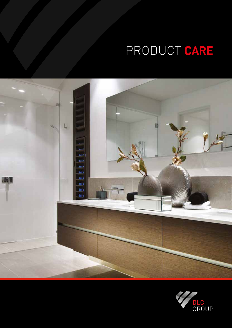# PRODUCT **CARE**